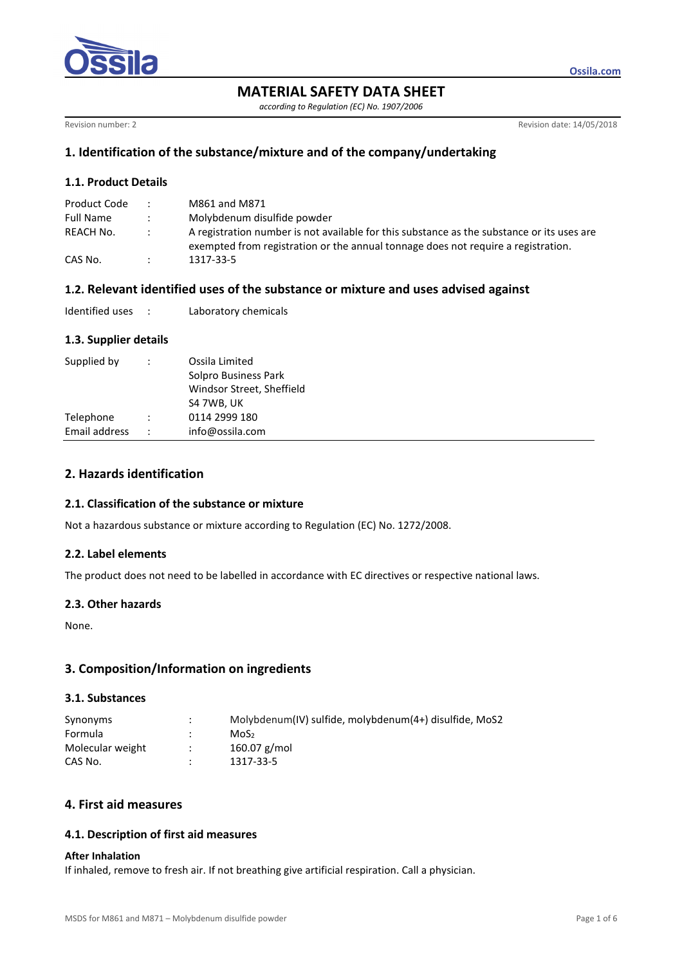

**MATERIAL SAFETY DATA SHEET** 

*according to Regulation (EC) No. 1907/2006* 

Revision number: 2 Revision of the USA Revision of the USA Revision of the USA Revision of the USA Revision of the USA Revision of the USA Revision of the USA Revision of the USA Revision of the USA Revision of the USA Rev

**Ossila.com**

# **1. Identification of the substance/mixture and of the company/undertaking**

## **1.1. Product Details**

| Product Code |                           | M861 and M871                                                                                                                                                                   |
|--------------|---------------------------|---------------------------------------------------------------------------------------------------------------------------------------------------------------------------------|
| Full Name    | $\ddot{\phantom{0}}$      | Molybdenum disulfide powder                                                                                                                                                     |
| REACH No.    | $\mathbb{R}^{\mathbb{Z}}$ | A registration number is not available for this substance as the substance or its uses are<br>exempted from registration or the annual tonnage does not require a registration. |
| CAS No.      |                           | 1317-33-5                                                                                                                                                                       |

## **1.2. Relevant identified uses of the substance or mixture and uses advised against**

| Identified uses |  | Laboratory chemicals |
|-----------------|--|----------------------|
|-----------------|--|----------------------|

## **1.3. Supplier details**

| Supplied by   | $\ddot{\phantom{0}}$ | Ossila Limited<br>Solpro Business Park<br>Windsor Street, Sheffield<br>S4 7WB, UK |
|---------------|----------------------|-----------------------------------------------------------------------------------|
| Telephone     |                      | 0114 2999 180                                                                     |
| Email address |                      | info@ossila.com                                                                   |

# **2. Hazards identification**

## **2.1. Classification of the substance or mixture**

Not a hazardous substance or mixture according to Regulation (EC) No. 1272/2008.

#### **2.2. Label elements**

The product does not need to be labelled in accordance with EC directives or respective national laws.

#### **2.3. Other hazards**

None.

## **3. Composition/Information on ingredients**

#### **3.1. Substances**

| Synonyms         | $\cdot$ | Molybdenum(IV) sulfide, molybdenum(4+) disulfide, MoS2 |
|------------------|---------|--------------------------------------------------------|
| Formula          |         | MoS <sub>2</sub>                                       |
| Molecular weight |         | 160.07 g/mol                                           |
| CAS No.          |         | 1317-33-5                                              |

# **4. First aid measures**

## **4.1. Description of first aid measures**

#### **After Inhalation**

If inhaled, remove to fresh air. If not breathing give artificial respiration. Call a physician.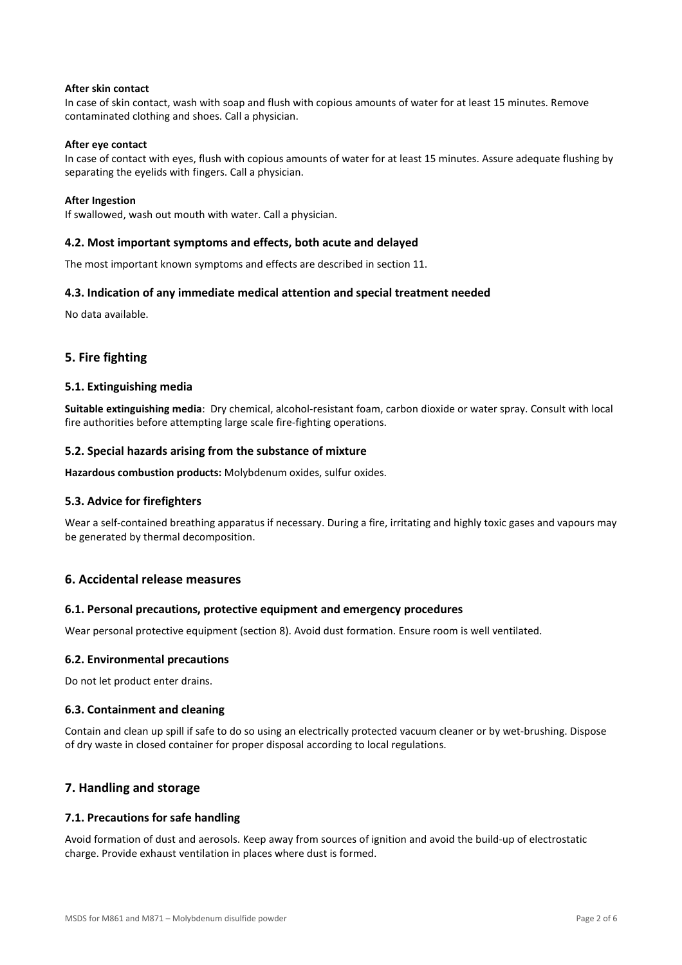#### **After skin contact**

In case of skin contact, wash with soap and flush with copious amounts of water for at least 15 minutes. Remove contaminated clothing and shoes. Call a physician.

#### **After eye contact**

In case of contact with eyes, flush with copious amounts of water for at least 15 minutes. Assure adequate flushing by separating the eyelids with fingers. Call a physician.

#### **After Ingestion**

If swallowed, wash out mouth with water. Call a physician.

#### **4.2. Most important symptoms and effects, both acute and delayed**

The most important known symptoms and effects are described in section 11.

#### **4.3. Indication of any immediate medical attention and special treatment needed**

No data available.

## **5. Fire fighting**

#### **5.1. Extinguishing media**

**Suitable extinguishing media**: Dry chemical, alcohol-resistant foam, carbon dioxide or water spray. Consult with local fire authorities before attempting large scale fire-fighting operations.

#### **5.2. Special hazards arising from the substance of mixture**

Hazardous combustion products: Molybdenum oxides, sulfur oxides.

#### **5.3. Advice for firefighters**

Wear a self-contained breathing apparatus if necessary. During a fire, irritating and highly toxic gases and vapours may be generated by thermal decomposition.

### **6. Accidental release measures**

#### **6.1. Personal precautions, protective equipment and emergency procedures**

Wear personal protective equipment (section 8). Avoid dust formation. Ensure room is well ventilated.

#### **6.2. Environmental precautions**

Do not let product enter drains.

#### **6.3. Containment and cleaning**

Contain and clean up spill if safe to do so using an electrically protected vacuum cleaner or by wet-brushing. Dispose of dry waste in closed container for proper disposal according to local regulations.

#### **7. Handling and storage**

#### **7.1. Precautions for safe handling**

Avoid formation of dust and aerosols. Keep away from sources of ignition and avoid the build-up of electrostatic charge. Provide exhaust ventilation in places where dust is formed.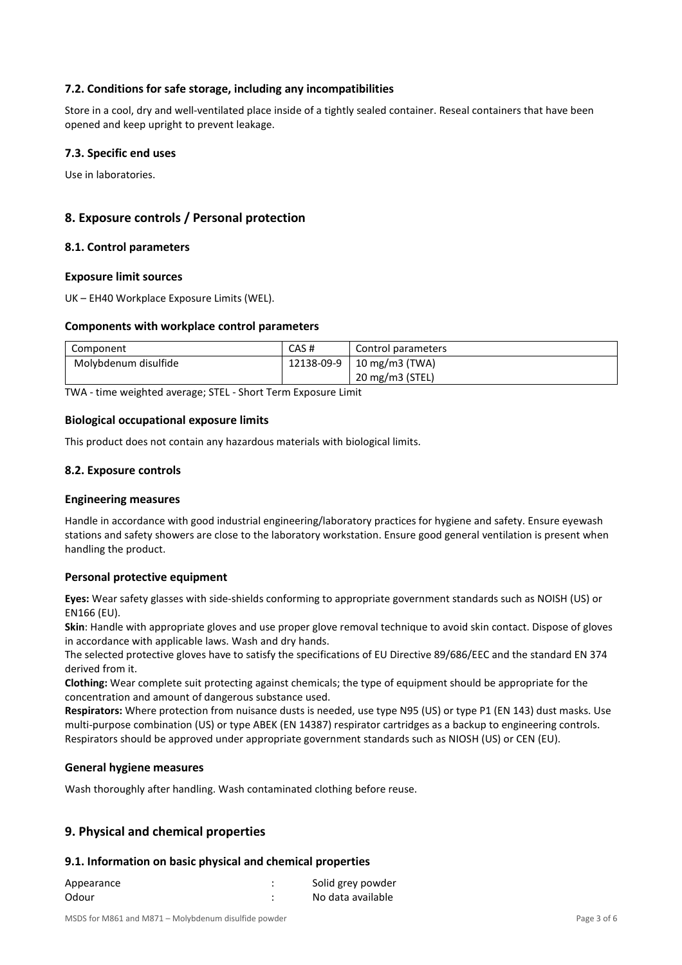## **7.2. Conditions for safe storage, including any incompatibilities**

Store in a cool, dry and well-ventilated place inside of a tightly sealed container. Reseal containers that have been opened and keep upright to prevent leakage.

## **7.3. Specific end uses**

Use in laboratories.

# **8. Exposure controls / Personal protection**

#### **8.1. Control parameters**

#### **Exposure limit sources**

UK – EH40 Workplace Exposure Limits (WEL).

#### **Components with workplace control parameters**

| Component            | CAS#       | Control parameters |
|----------------------|------------|--------------------|
| Molybdenum disulfide | 12138-09-9 | 10 mg/m3 (TWA)     |
|                      |            | 20 mg/m3 (STEL)    |

TWA - time weighted average; STEL - Short Term Exposure Limit

#### **Biological occupational exposure limits**

This product does not contain any hazardous materials with biological limits.

## **8.2. Exposure controls**

#### **Engineering measures**

Handle in accordance with good industrial engineering/laboratory practices for hygiene and safety. Ensure eyewash stations and safety showers are close to the laboratory workstation. Ensure good general ventilation is present when handling the product.

#### **Personal protective equipment**

**Eyes:** Wear safety glasses with side-shields conforming to appropriate government standards such as NOISH (US) or EN166 (EU).

Skin: Handle with appropriate gloves and use proper glove removal technique to avoid skin contact. Dispose of gloves in accordance with applicable laws. Wash and dry hands.

The selected protective gloves have to satisfy the specifications of EU Directive 89/686/EEC and the standard EN 374 derived from it.

**Clothing:** Wear complete suit protecting against chemicals; the type of equipment shoulo be appropriate for the concentration and amount of dangerous substance used.

Respirators: Where protection from nuisance dusts is needed, use type N95 (US) or type P1 (EN 143) dust masks. Use multi-purpose combination (US) or type ABEK (EN 14387) respirator cartridges as a backup to engineering controls. Respirators should be approved under appropriate government standards such as NIOSH (US) or CEN (EU).

#### **General hygiene measures**

Wash thoroughly after handling. Wash contaminated clothing before reuse.

## **9. Physical and chemical properties**

#### **9.1. Information on basic physical and chemical properties**

| Appearance | Solid grey powder |
|------------|-------------------|
| Odour      | No data available |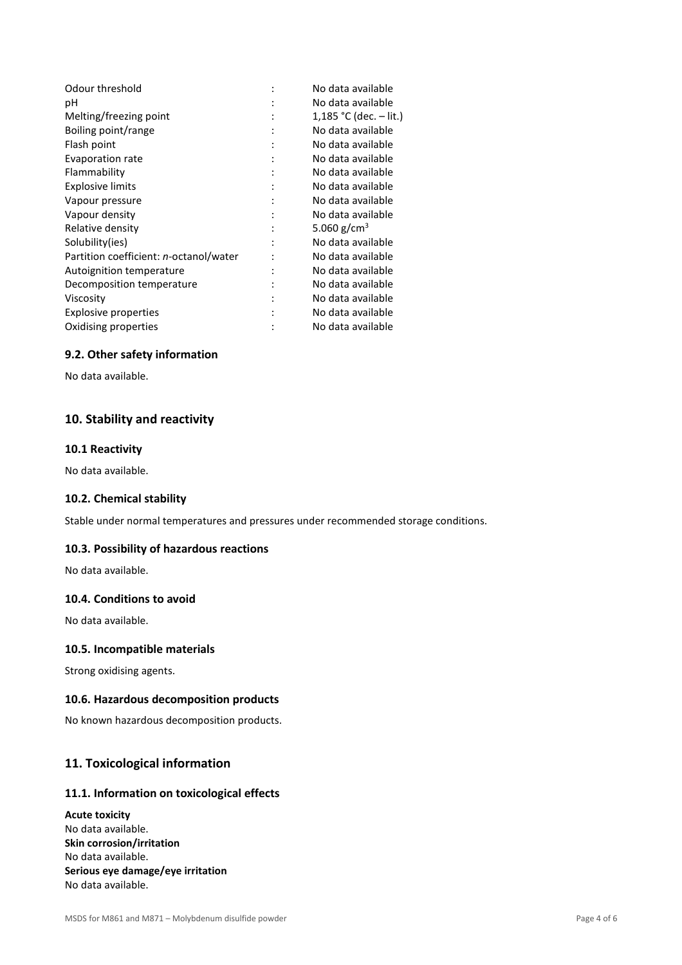| Odour threshold                        | No data available        |
|----------------------------------------|--------------------------|
| рH                                     | No data available        |
| Melting/freezing point                 | 1,185 °C (dec. $-$ lit.) |
| Boiling point/range                    | No data available        |
| Flash point                            | No data available        |
| Evaporation rate                       | No data available        |
| Flammability                           | No data available        |
| <b>Explosive limits</b>                | No data available        |
| Vapour pressure                        | No data available        |
| Vapour density                         | No data available        |
| Relative density                       | 5.060 g/cm <sup>3</sup>  |
| Solubility(ies)                        | No data available        |
| Partition coefficient: n-octanol/water | No data available        |
| Autoignition temperature               | No data available        |
| Decomposition temperature              | No data available        |
| Viscosity                              | No data available        |
| Explosive properties                   | No data available        |
| Oxidising properties                   | No data available        |

## **9.2. Other safety information**

No data available.

# **10. Stability and reactivity**

### **10.1 Reactivity**

No data available.

## **10.2. Chemical stability**

Stable under normal temperatures and pressures under recommended storage conditions.

#### **10.3. Possibility of hazardous reactions**

No data available.

#### **10.4. Conditions to avoid**

No data available.

## **10.5. Incompatible materials**

Strong oxidising agents.

## **10.6. Hazardous decomposition products**

No known hazardous decomposition products.

# **11. Toxicological information**

# **11.1. Information on toxicological effects**

**Acute toxicity**  No data available. **Skin corrosion/irritation**  No data available. **Serious eye damage/eye irritation**  No data available.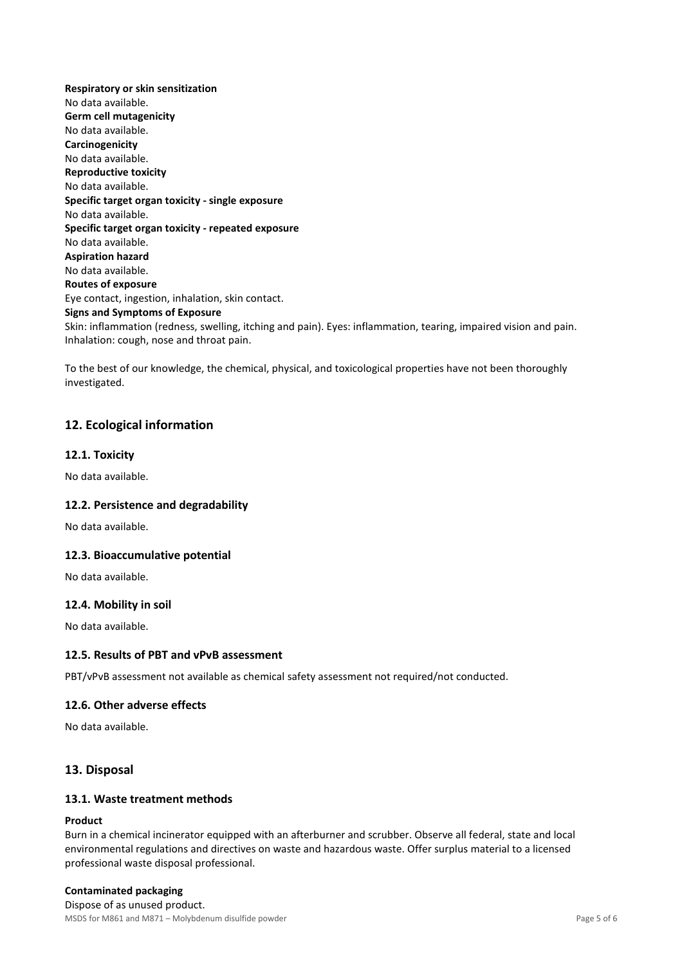**Respiratory or skin sensitization**  No data available. **Germ cell mutagenicity**  No data available. **Carcinogenicity**  No data available. **Reproductive toxicity**  No data available. **Specific target organ toxicity - single exposure**  No data available. **Specific target organ toxicity - repeated exposure**  No data available. **Aspiration hazard**  No data available. **Routes of exposure**  Eye contact, ingestion, inhalation, skin contact. **Signs and Symptoms of Exposure**  Skin: inflammation (redness, swelling, itching and pain). Eyes: inflammation, tearing, impaired vision and pain. Inhalation: cough, nose and throat pain.

To the best of our knowledge, the chemical, physical, and toxicological properties have not been thoroughly investigated.

# **12. Ecological information**

#### **12.1. Toxicity**

No data available.

#### **12.2. Persistence and degradability**

No data available.

#### **12.3. Bioaccumulative potential**

No data available.

#### **12.4. Mobility in soil**

No data available.

#### **12.5. Results of PBT and vPvB assessment**

PBT/vPvB assessment not available as chemical safety assessment not required/not conducted.

#### **12.6. Other adverse effects**

No data available.

### **13. Disposal**

## **13.1. Waste treatment methods**

#### **Product**

Burn in a chemical incinerator equipped with an afterburner and scrubber. Observe all federal, state and local environmental regulations and directives on waste and hazardous waste. Offer surplus material to a licensed professional waste disposal professional.